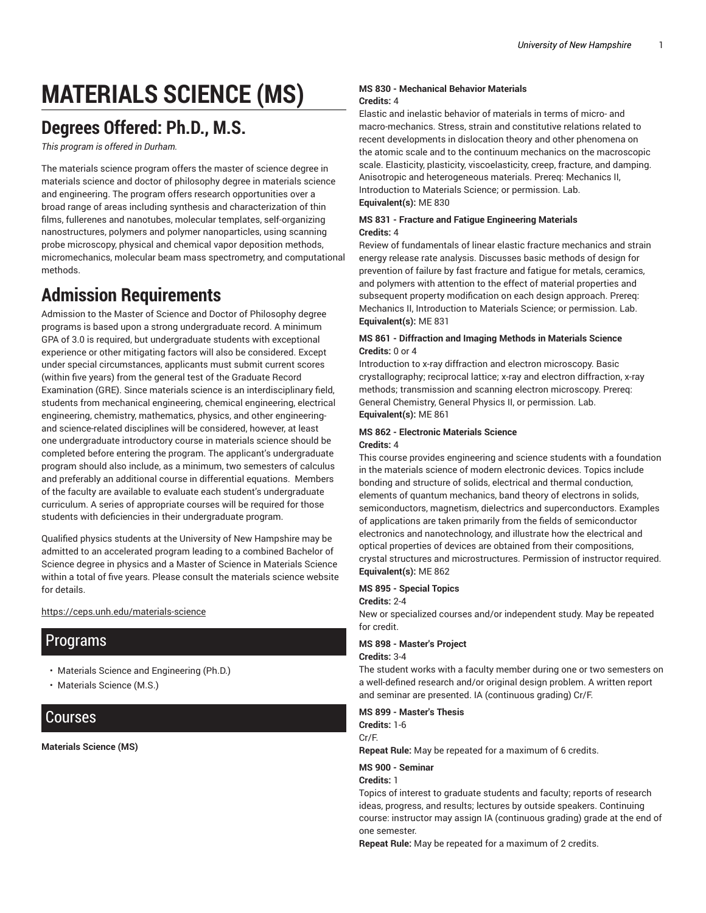# **MATERIALS SCIENCE (MS)**

# **Degrees Offered: Ph.D., M.S.**

*This program is offered in Durham.*

The materials science program offers the master of science degree in materials science and doctor of philosophy degree in materials science and engineering. The program offers research opportunities over a broad range of areas including synthesis and characterization of thin films, fullerenes and nanotubes, molecular templates, self-organizing nanostructures, polymers and polymer nanoparticles, using scanning probe microscopy, physical and chemical vapor deposition methods, micromechanics, molecular beam mass spectrometry, and computational methods.

# **Admission Requirements**

Admission to the Master of Science and Doctor of Philosophy degree programs is based upon a strong undergraduate record. A minimum GPA of 3.0 is required, but undergraduate students with exceptional experience or other mitigating factors will also be considered. Except under special circumstances, applicants must submit current scores (within five years) from the general test of the Graduate Record Examination (GRE). Since materials science is an interdisciplinary field, students from mechanical engineering, chemical engineering, electrical engineering, chemistry, mathematics, physics, and other engineeringand science-related disciplines will be considered, however, at least one undergraduate introductory course in materials science should be completed before entering the program. The applicant's undergraduate program should also include, as a minimum, two semesters of calculus and preferably an additional course in differential equations. Members of the faculty are available to evaluate each student's undergraduate curriculum. A series of appropriate courses will be required for those students with deficiencies in their undergraduate program.

Qualified physics students at the University of New Hampshire may be admitted to an accelerated program leading to a combined Bachelor of Science degree in physics and a Master of Science in Materials Science within a total of five years. Please consult the materials science website for details.

#### https://ceps.unh.edu/materials-science

## Programs

- Materials Science and Engineering (Ph.D.)
- Materials Science (M.S.)

### Courses

**Materials Science (MS)**

#### **MS 830 - Mechanical Behavior Materials Credits:** 4

Elastic and inelastic behavior of materials in terms of micro- and macro-mechanics. Stress, strain and constitutive relations related to recent developments in dislocation theory and other phenomena on the atomic scale and to the continuum mechanics on the macroscopic scale. Elasticity, plasticity, viscoelasticity, creep, fracture, and damping. Anisotropic and heterogeneous materials. Prereq: Mechanics II, Introduction to Materials Science; or permission. Lab. **Equivalent(s):** ME 830

#### **MS 831 - Fracture and Fatigue Engineering Materials Credits:** 4

Review of fundamentals of linear elastic fracture mechanics and strain energy release rate analysis. Discusses basic methods of design for prevention of failure by fast fracture and fatigue for metals, ceramics, and polymers with attention to the effect of material properties and subsequent property modification on each design approach. Prereq: Mechanics II, Introduction to Materials Science; or permission. Lab. **Equivalent(s):** ME 831

#### **MS 861 - Diffraction and Imaging Methods in Materials Science Credits:** 0 or 4

Introduction to x-ray diffraction and electron microscopy. Basic crystallography; reciprocal lattice; x-ray and electron diffraction, x-ray methods; transmission and scanning electron microscopy. Prereq: General Chemistry, General Physics II, or permission. Lab. **Equivalent(s):** ME 861

#### **MS 862 - Electronic Materials Science Credits:** 4

This course provides engineering and science students with a foundation in the materials science of modern electronic devices. Topics include bonding and structure of solids, electrical and thermal conduction, elements of quantum mechanics, band theory of electrons in solids, semiconductors, magnetism, dielectrics and superconductors. Examples of applications are taken primarily from the fields of semiconductor electronics and nanotechnology, and illustrate how the electrical and optical properties of devices are obtained from their compositions, crystal structures and microstructures. Permission of instructor required. **Equivalent(s):** ME 862

#### **MS 895 - Special Topics**

#### **Credits:** 2-4

New or specialized courses and/or independent study. May be repeated for credit.

#### **MS 898 - Master's Project**

#### **Credits:** 3-4

The student works with a faculty member during one or two semesters on a well-defined research and/or original design problem. A written report and seminar are presented. IA (continuous grading) Cr/F.

#### **MS 899 - Master's Thesis**

**Credits:** 1-6 Cr/F.

**Repeat Rule:** May be repeated for a maximum of 6 credits.

#### **MS 900 - Seminar**

**Credits:** 1

Topics of interest to graduate students and faculty; reports of research ideas, progress, and results; lectures by outside speakers. Continuing course: instructor may assign IA (continuous grading) grade at the end of one semester.

**Repeat Rule:** May be repeated for a maximum of 2 credits.